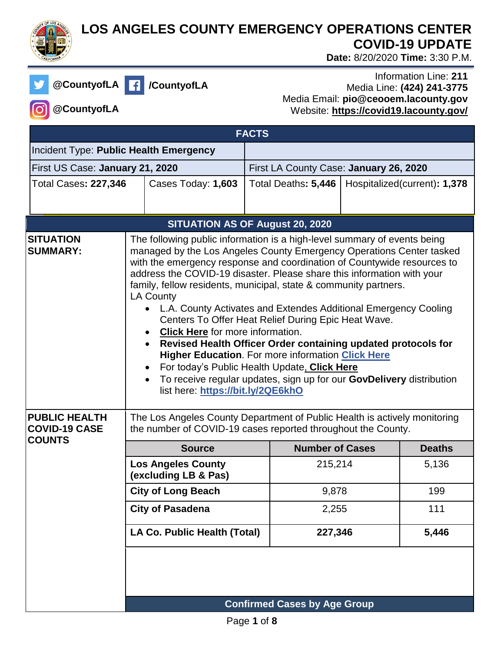

## **LOS ANGELES COUNTY EMERGENCY OPERATIONS CENTER COVID-19 UPDATE**

 **Date:** 8/20/2020 **Time:** 3:30 P.M.

|--|

**@CountyofLA /CountyofLA**

## Information Line: **211** Media Line: **(424) 241-3775** Media Email: **pio@ceooem.lacounty.gov** Website: **<https://covid19.lacounty.gov/>**

**@CountyofLA**

| <b>FACTS</b>                                                  |                                                                                                                                                                                                                                                                                                                                                                                                                                                                                                                                                                                                                                                                                                                                                                                                                                                                |                                                   |                                        |  |                              |
|---------------------------------------------------------------|----------------------------------------------------------------------------------------------------------------------------------------------------------------------------------------------------------------------------------------------------------------------------------------------------------------------------------------------------------------------------------------------------------------------------------------------------------------------------------------------------------------------------------------------------------------------------------------------------------------------------------------------------------------------------------------------------------------------------------------------------------------------------------------------------------------------------------------------------------------|---------------------------------------------------|----------------------------------------|--|------------------------------|
| Incident Type: Public Health Emergency                        |                                                                                                                                                                                                                                                                                                                                                                                                                                                                                                                                                                                                                                                                                                                                                                                                                                                                |                                                   |                                        |  |                              |
| First US Case: January 21, 2020                               |                                                                                                                                                                                                                                                                                                                                                                                                                                                                                                                                                                                                                                                                                                                                                                                                                                                                |                                                   | First LA County Case: January 26, 2020 |  |                              |
| <b>Total Cases: 227,346</b>                                   |                                                                                                                                                                                                                                                                                                                                                                                                                                                                                                                                                                                                                                                                                                                                                                                                                                                                | Cases Today: 1,603                                | Total Deaths: 5,446                    |  | Hospitalized(current): 1,378 |
|                                                               |                                                                                                                                                                                                                                                                                                                                                                                                                                                                                                                                                                                                                                                                                                                                                                                                                                                                |                                                   |                                        |  |                              |
|                                                               |                                                                                                                                                                                                                                                                                                                                                                                                                                                                                                                                                                                                                                                                                                                                                                                                                                                                |                                                   | SITUATION AS OF August 20, 2020        |  |                              |
| <b>SITUATION</b><br><b>SUMMARY:</b>                           | The following public information is a high-level summary of events being<br>managed by the Los Angeles County Emergency Operations Center tasked<br>with the emergency response and coordination of Countywide resources to<br>address the COVID-19 disaster. Please share this information with your<br>family, fellow residents, municipal, state & community partners.<br><b>LA County</b><br>• L.A. County Activates and Extendes Additional Emergency Cooling<br>Centers To Offer Heat Relief During Epic Heat Wave.<br><b>Click Here</b> for more information.<br>Revised Health Officer Order containing updated protocols for<br><b>Higher Education.</b> For more information Click Here<br>For today's Public Health Update, Click Here<br>To receive regular updates, sign up for our GovDelivery distribution<br>list here: https://bit.ly/2QE6khO |                                                   |                                        |  |                              |
| <b>PUBLIC HEALTH</b><br><b>COVID-19 CASE</b><br><b>COUNTS</b> | The Los Angeles County Department of Public Health is actively monitoring<br>the number of COVID-19 cases reported throughout the County.                                                                                                                                                                                                                                                                                                                                                                                                                                                                                                                                                                                                                                                                                                                      |                                                   |                                        |  |                              |
|                                                               |                                                                                                                                                                                                                                                                                                                                                                                                                                                                                                                                                                                                                                                                                                                                                                                                                                                                | <b>Source</b>                                     | <b>Number of Cases</b>                 |  | <b>Deaths</b>                |
|                                                               |                                                                                                                                                                                                                                                                                                                                                                                                                                                                                                                                                                                                                                                                                                                                                                                                                                                                | <b>Los Angeles County</b><br>(excluding LB & Pas) | 215,214                                |  | 5,136                        |
|                                                               |                                                                                                                                                                                                                                                                                                                                                                                                                                                                                                                                                                                                                                                                                                                                                                                                                                                                | <b>City of Long Beach</b>                         | 9,878                                  |  | 199                          |
|                                                               | <b>City of Pasadena</b>                                                                                                                                                                                                                                                                                                                                                                                                                                                                                                                                                                                                                                                                                                                                                                                                                                        |                                                   | 2,255                                  |  | 111                          |
|                                                               |                                                                                                                                                                                                                                                                                                                                                                                                                                                                                                                                                                                                                                                                                                                                                                                                                                                                | LA Co. Public Health (Total)                      | 227,346                                |  | 5,446                        |
|                                                               |                                                                                                                                                                                                                                                                                                                                                                                                                                                                                                                                                                                                                                                                                                                                                                                                                                                                |                                                   | <b>Confirmed Cases by Age Group</b>    |  |                              |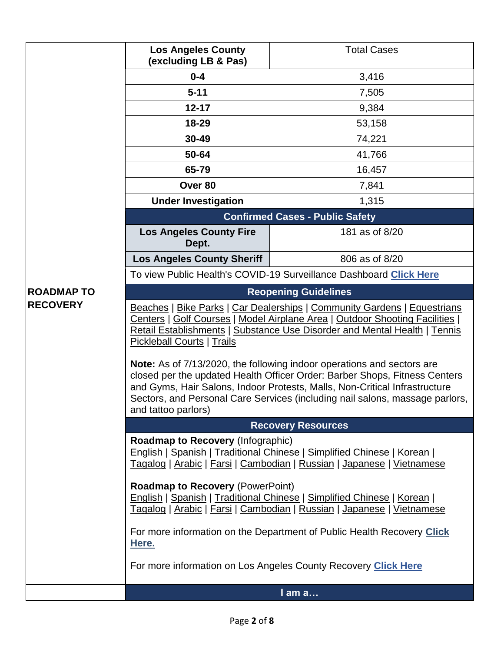|                  | <b>Los Angeles County</b><br>(excluding LB & Pas)                                                                                                                                                                                                                                                                                                                      | <b>Total Cases</b>                                             |  |  |  |
|------------------|------------------------------------------------------------------------------------------------------------------------------------------------------------------------------------------------------------------------------------------------------------------------------------------------------------------------------------------------------------------------|----------------------------------------------------------------|--|--|--|
|                  | $0 - 4$                                                                                                                                                                                                                                                                                                                                                                | 3,416                                                          |  |  |  |
|                  | $5 - 11$                                                                                                                                                                                                                                                                                                                                                               | 7,505                                                          |  |  |  |
|                  | $12 - 17$                                                                                                                                                                                                                                                                                                                                                              | 9,384                                                          |  |  |  |
|                  | 18-29                                                                                                                                                                                                                                                                                                                                                                  | 53,158                                                         |  |  |  |
|                  | 30-49                                                                                                                                                                                                                                                                                                                                                                  | 74,221                                                         |  |  |  |
|                  | 50-64                                                                                                                                                                                                                                                                                                                                                                  | 41,766                                                         |  |  |  |
|                  | 65-79                                                                                                                                                                                                                                                                                                                                                                  | 16,457                                                         |  |  |  |
|                  | Over 80                                                                                                                                                                                                                                                                                                                                                                | 7,841                                                          |  |  |  |
|                  | <b>Under Investigation</b><br>1,315                                                                                                                                                                                                                                                                                                                                    |                                                                |  |  |  |
|                  | <b>Confirmed Cases - Public Safety</b>                                                                                                                                                                                                                                                                                                                                 |                                                                |  |  |  |
|                  | 181 as of 8/20<br><b>Los Angeles County Fire</b><br>Dept.                                                                                                                                                                                                                                                                                                              |                                                                |  |  |  |
|                  | <b>Los Angeles County Sheriff</b>                                                                                                                                                                                                                                                                                                                                      | 806 as of 8/20                                                 |  |  |  |
|                  | To view Public Health's COVID-19 Surveillance Dashboard Click Here                                                                                                                                                                                                                                                                                                     |                                                                |  |  |  |
| <b>ROADMAPTO</b> | <b>Reopening Guidelines</b>                                                                                                                                                                                                                                                                                                                                            |                                                                |  |  |  |
| <b>RECOVERY</b>  | Beaches   Bike Parks   Car Dealerships   Community Gardens   Equestrians<br>Centers   Golf Courses   Model Airplane Area   Outdoor Shooting Facilities  <br>Retail Establishments   Substance Use Disorder and Mental Health   Tennis<br><b>Pickleball Courts   Trails</b>                                                                                             |                                                                |  |  |  |
|                  | Note: As of 7/13/2020, the following indoor operations and sectors are<br>closed per the updated Health Officer Order: Barber Shops, Fitness Centers<br>and Gyms, Hair Salons, Indoor Protests, Malls, Non-Critical Infrastructure<br>Sectors, and Personal Care Services (including nail salons, massage parlors,<br>and tattoo parlors)<br><b>Recovery Resources</b> |                                                                |  |  |  |
|                  |                                                                                                                                                                                                                                                                                                                                                                        |                                                                |  |  |  |
|                  | <b>Roadmap to Recovery (Infographic)</b><br><b>English   Spanish   Traditional Chinese   Simplified Chinese   Korean  </b><br>Tagalog   Arabic   Farsi   Cambodian   Russian   Japanese   Vietnamese                                                                                                                                                                   |                                                                |  |  |  |
|                  | <b>Roadmap to Recovery (PowerPoint)</b><br>English   Spanish   Traditional Chinese   Simplified Chinese   Korean  <br>Tagalog   Arabic   Farsi   Cambodian   Russian   Japanese   Vietnamese                                                                                                                                                                           |                                                                |  |  |  |
|                  | For more information on the Department of Public Health Recovery Click<br>Here.                                                                                                                                                                                                                                                                                        |                                                                |  |  |  |
|                  |                                                                                                                                                                                                                                                                                                                                                                        | For more information on Los Angeles County Recovery Click Here |  |  |  |
|                  |                                                                                                                                                                                                                                                                                                                                                                        | I am a                                                         |  |  |  |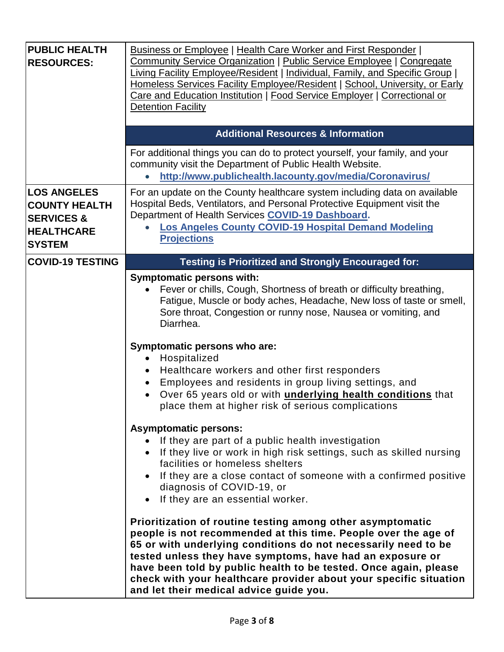| <b>PUBLIC HEALTH</b><br><b>RESOURCES:</b>                                                                 | <b>Business or Employee   Health Care Worker and First Responder  </b><br><b>Community Service Organization   Public Service Employee   Congregate</b><br>Living Facility Employee/Resident   Individual, Family, and Specific Group  <br>Homeless Services Facility Employee/Resident   School, University, or Early<br>Care and Education Institution   Food Service Employer   Correctional or<br><b>Detention Facility</b>                  |
|-----------------------------------------------------------------------------------------------------------|-------------------------------------------------------------------------------------------------------------------------------------------------------------------------------------------------------------------------------------------------------------------------------------------------------------------------------------------------------------------------------------------------------------------------------------------------|
|                                                                                                           | <b>Additional Resources &amp; Information</b>                                                                                                                                                                                                                                                                                                                                                                                                   |
|                                                                                                           | For additional things you can do to protect yourself, your family, and your<br>community visit the Department of Public Health Website.<br>http://www.publichealth.lacounty.gov/media/Coronavirus/<br>$\bullet$                                                                                                                                                                                                                                 |
| <b>LOS ANGELES</b><br><b>COUNTY HEALTH</b><br><b>SERVICES &amp;</b><br><b>HEALTHCARE</b><br><b>SYSTEM</b> | For an update on the County healthcare system including data on available<br>Hospital Beds, Ventilators, and Personal Protective Equipment visit the<br>Department of Health Services COVID-19 Dashboard.<br>Los Angeles County COVID-19 Hospital Demand Modeling<br><b>Projections</b>                                                                                                                                                         |
| <b>COVID-19 TESTING</b>                                                                                   | <b>Testing is Prioritized and Strongly Encouraged for:</b>                                                                                                                                                                                                                                                                                                                                                                                      |
|                                                                                                           | <b>Symptomatic persons with:</b><br>Fever or chills, Cough, Shortness of breath or difficulty breathing,<br>Fatigue, Muscle or body aches, Headache, New loss of taste or smell,<br>Sore throat, Congestion or runny nose, Nausea or vomiting, and<br>Diarrhea.                                                                                                                                                                                 |
|                                                                                                           | Symptomatic persons who are:<br>Hospitalized<br>Healthcare workers and other first responders<br>Employees and residents in group living settings, and<br>$\bullet$<br>Over 65 years old or with <i>underlying health conditions</i> that<br>$\bullet$<br>place them at higher risk of serious complications                                                                                                                                    |
|                                                                                                           | <b>Asymptomatic persons:</b><br>• If they are part of a public health investigation<br>• If they live or work in high risk settings, such as skilled nursing<br>facilities or homeless shelters<br>• If they are a close contact of someone with a confirmed positive<br>diagnosis of COVID-19, or<br>If they are an essential worker.<br>$\bullet$                                                                                             |
|                                                                                                           | Prioritization of routine testing among other asymptomatic<br>people is not recommended at this time. People over the age of<br>65 or with underlying conditions do not necessarily need to be<br>tested unless they have symptoms, have had an exposure or<br>have been told by public health to be tested. Once again, please<br>check with your healthcare provider about your specific situation<br>and let their medical advice guide you. |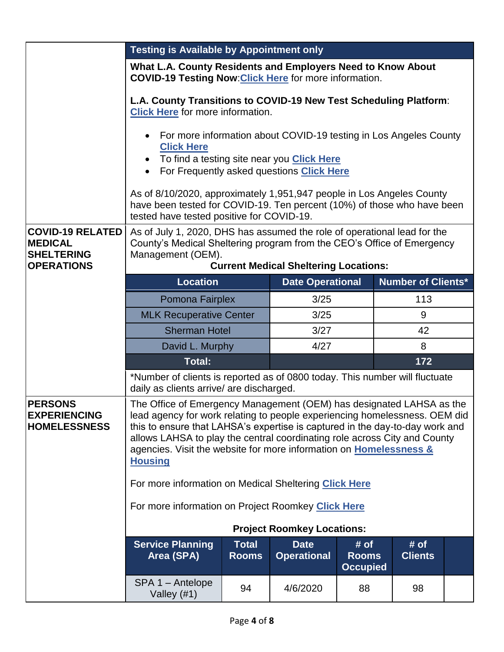|                                                                                     | <b>Testing is Available by Appointment only</b>                                                                                                                                                                                                                                                                                                                                                              |                              |                                   |                                         |                        |  |
|-------------------------------------------------------------------------------------|--------------------------------------------------------------------------------------------------------------------------------------------------------------------------------------------------------------------------------------------------------------------------------------------------------------------------------------------------------------------------------------------------------------|------------------------------|-----------------------------------|-----------------------------------------|------------------------|--|
|                                                                                     | What L.A. County Residents and Employers Need to Know About<br><b>COVID-19 Testing Now: Click Here for more information.</b>                                                                                                                                                                                                                                                                                 |                              |                                   |                                         |                        |  |
|                                                                                     | L.A. County Transitions to COVID-19 New Test Scheduling Platform:<br><b>Click Here for more information.</b>                                                                                                                                                                                                                                                                                                 |                              |                                   |                                         |                        |  |
|                                                                                     | For more information about COVID-19 testing in Los Angeles County<br><b>Click Here</b><br>To find a testing site near you Click Here<br>$\bullet$<br>For Frequently asked questions Click Here<br>$\bullet$<br>As of 8/10/2020, approximately 1,951,947 people in Los Angeles County<br>have been tested for COVID-19. Ten percent (10%) of those who have been<br>tested have tested positive for COVID-19. |                              |                                   |                                         |                        |  |
| <b>COVID-19 RELATED</b><br><b>MEDICAL</b><br><b>SHELTERING</b><br><b>OPERATIONS</b> | As of July 1, 2020, DHS has assumed the role of operational lead for the<br>County's Medical Sheltering program from the CEO's Office of Emergency<br>Management (OEM).<br><b>Current Medical Sheltering Locations:</b>                                                                                                                                                                                      |                              |                                   |                                         |                        |  |
|                                                                                     | <b>Location</b><br><b>Number of Clients*</b><br><b>Date Operational</b>                                                                                                                                                                                                                                                                                                                                      |                              |                                   |                                         |                        |  |
|                                                                                     | 3/25<br>113<br>Pomona Fairplex                                                                                                                                                                                                                                                                                                                                                                               |                              |                                   |                                         |                        |  |
|                                                                                     | 3/25<br><b>MLK Recuperative Center</b><br>9                                                                                                                                                                                                                                                                                                                                                                  |                              |                                   |                                         |                        |  |
|                                                                                     | <b>Sherman Hotel</b><br>3/27<br>42                                                                                                                                                                                                                                                                                                                                                                           |                              |                                   |                                         |                        |  |
|                                                                                     | David L. Murphy<br>4/27<br>8                                                                                                                                                                                                                                                                                                                                                                                 |                              |                                   |                                         |                        |  |
|                                                                                     | <b>Total:</b><br>172<br>*Number of clients is reported as of 0800 today. This number will fluctuate<br>daily as clients arrive/ are discharged.                                                                                                                                                                                                                                                              |                              |                                   |                                         |                        |  |
|                                                                                     |                                                                                                                                                                                                                                                                                                                                                                                                              |                              |                                   |                                         |                        |  |
| <b>PERSONS</b><br><b>EXPERIENCING</b><br><b>HOMELESSNESS</b>                        | The Office of Emergency Management (OEM) has designated LAHSA as the<br>lead agency for work relating to people experiencing homelessness. OEM did<br>this to ensure that LAHSA's expertise is captured in the day-to-day work and<br>allows LAHSA to play the central coordinating role across City and County<br>agencies. Visit the website for more information on Homelessness &<br><b>Housing</b>      |                              |                                   |                                         |                        |  |
|                                                                                     | For more information on Medical Sheltering Click Here                                                                                                                                                                                                                                                                                                                                                        |                              |                                   |                                         |                        |  |
|                                                                                     | For more information on Project Roomkey Click Here                                                                                                                                                                                                                                                                                                                                                           |                              |                                   |                                         |                        |  |
|                                                                                     |                                                                                                                                                                                                                                                                                                                                                                                                              |                              | <b>Project Roomkey Locations:</b> |                                         |                        |  |
|                                                                                     | <b>Service Planning</b><br>Area (SPA)                                                                                                                                                                                                                                                                                                                                                                        | <b>Total</b><br><b>Rooms</b> | <b>Date</b><br><b>Operational</b> | # of<br><b>Rooms</b><br><b>Occupied</b> | # of<br><b>Clients</b> |  |
|                                                                                     | SPA 1 - Antelope<br>94<br>4/6/2020<br>88<br>98<br>Valley $(#1)$                                                                                                                                                                                                                                                                                                                                              |                              |                                   |                                         |                        |  |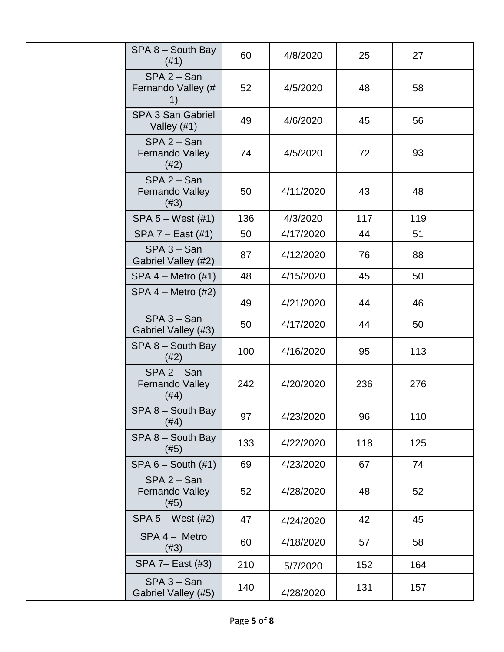| SPA 8 - South Bay<br>(#1)                 | 60  | 4/8/2020  | 25  | 27  |  |
|-------------------------------------------|-----|-----------|-----|-----|--|
| $SPA 2 - San$<br>Fernando Valley (#<br>1) | 52  | 4/5/2020  | 48  | 58  |  |
| <b>SPA 3 San Gabriel</b><br>Valley $(#1)$ | 49  | 4/6/2020  | 45  | 56  |  |
| $SPA 2 - San$<br>Fernando Valley<br>(#2)  | 74  | 4/5/2020  | 72  | 93  |  |
| $SPA 2 - San$<br>Fernando Valley<br>(#3)  | 50  | 4/11/2020 | 43  | 48  |  |
| SPA 5 - West (#1)                         | 136 | 4/3/2020  | 117 | 119 |  |
| SPA 7 - East (#1)                         | 50  | 4/17/2020 | 44  | 51  |  |
| $SPA 3 - San$<br>Gabriel Valley (#2)      | 87  | 4/12/2020 | 76  | 88  |  |
| $SPA 4 - Metro (#1)$                      | 48  | 4/15/2020 | 45  | 50  |  |
| $SPA 4 - Metro (#2)$                      | 49  | 4/21/2020 | 44  | 46  |  |
| $SPA 3 - San$<br>Gabriel Valley (#3)      | 50  | 4/17/2020 | 44  | 50  |  |
| SPA 8 - South Bay<br>(#2)                 | 100 | 4/16/2020 | 95  | 113 |  |
| $SPA 2 - San$<br>Fernando Valley<br>(#4)  | 242 | 4/20/2020 | 236 | 276 |  |
| SPA 8 - South Bay<br>(#4)                 | 97  | 4/23/2020 | 96  | 110 |  |
| $SPA 8 - South Bay$<br>(#5)               | 133 | 4/22/2020 | 118 | 125 |  |
| $SPA 6 - South (#1)$                      | 69  | 4/23/2020 | 67  | 74  |  |
| $SPA 2 - San$<br>Fernando Valley<br>(#5)  | 52  | 4/28/2020 | 48  | 52  |  |
| $SPA 5 - West (#2)$                       | 47  | 4/24/2020 | 42  | 45  |  |
| SPA 4 - Metro<br>(#3)                     | 60  | 4/18/2020 | 57  | 58  |  |
| SPA 7- East (#3)                          | 210 | 5/7/2020  | 152 | 164 |  |
| $SPA 3 - San$<br>Gabriel Valley (#5)      | 140 | 4/28/2020 | 131 | 157 |  |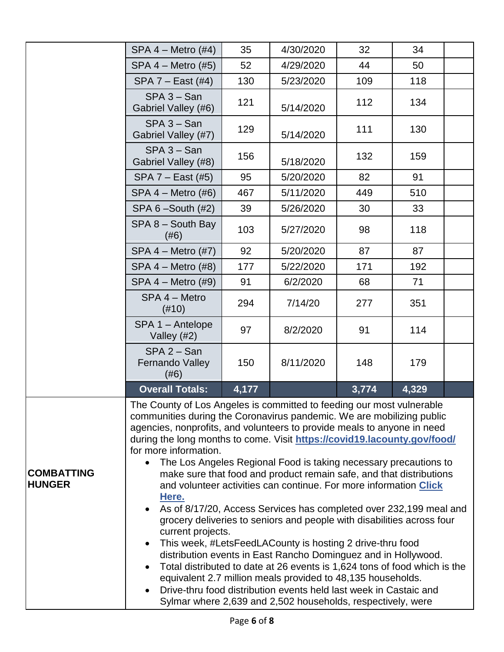|                                    | $SPA 4 - Metro (#4)$                                                                                                                                                                                                                                                                                                                                                                                                                                                                                                                                                                                                                                                                                                                                                                                                                                                                                                                                                                                                                                                                                                                                                               | 35  | 4/30/2020 | 32  | 34  |  |  |
|------------------------------------|------------------------------------------------------------------------------------------------------------------------------------------------------------------------------------------------------------------------------------------------------------------------------------------------------------------------------------------------------------------------------------------------------------------------------------------------------------------------------------------------------------------------------------------------------------------------------------------------------------------------------------------------------------------------------------------------------------------------------------------------------------------------------------------------------------------------------------------------------------------------------------------------------------------------------------------------------------------------------------------------------------------------------------------------------------------------------------------------------------------------------------------------------------------------------------|-----|-----------|-----|-----|--|--|
|                                    | $SPA 4 - Metro (#5)$                                                                                                                                                                                                                                                                                                                                                                                                                                                                                                                                                                                                                                                                                                                                                                                                                                                                                                                                                                                                                                                                                                                                                               | 52  | 4/29/2020 | 44  | 50  |  |  |
|                                    | SPA $7$ – East (#4)                                                                                                                                                                                                                                                                                                                                                                                                                                                                                                                                                                                                                                                                                                                                                                                                                                                                                                                                                                                                                                                                                                                                                                | 130 | 5/23/2020 | 109 | 118 |  |  |
|                                    | $SPA 3 - San$<br>Gabriel Valley (#6)                                                                                                                                                                                                                                                                                                                                                                                                                                                                                                                                                                                                                                                                                                                                                                                                                                                                                                                                                                                                                                                                                                                                               | 121 | 5/14/2020 | 112 | 134 |  |  |
|                                    | $SPA 3 - San$<br>Gabriel Valley (#7)                                                                                                                                                                                                                                                                                                                                                                                                                                                                                                                                                                                                                                                                                                                                                                                                                                                                                                                                                                                                                                                                                                                                               | 129 | 5/14/2020 | 111 | 130 |  |  |
|                                    | $SPA 3 - San$<br>Gabriel Valley (#8)                                                                                                                                                                                                                                                                                                                                                                                                                                                                                                                                                                                                                                                                                                                                                                                                                                                                                                                                                                                                                                                                                                                                               | 156 | 5/18/2020 | 132 | 159 |  |  |
|                                    | SPA 7 - East (#5)                                                                                                                                                                                                                                                                                                                                                                                                                                                                                                                                                                                                                                                                                                                                                                                                                                                                                                                                                                                                                                                                                                                                                                  | 95  | 5/20/2020 | 82  | 91  |  |  |
|                                    | $SPA 4 - Metro (#6)$                                                                                                                                                                                                                                                                                                                                                                                                                                                                                                                                                                                                                                                                                                                                                                                                                                                                                                                                                                                                                                                                                                                                                               | 467 | 5/11/2020 | 449 | 510 |  |  |
|                                    | SPA $6$ -South $(H2)$                                                                                                                                                                                                                                                                                                                                                                                                                                                                                                                                                                                                                                                                                                                                                                                                                                                                                                                                                                                                                                                                                                                                                              | 39  | 5/26/2020 | 30  | 33  |  |  |
|                                    | $SPA 8 - South Bay$<br>(#6)                                                                                                                                                                                                                                                                                                                                                                                                                                                                                                                                                                                                                                                                                                                                                                                                                                                                                                                                                                                                                                                                                                                                                        | 103 | 5/27/2020 | 98  | 118 |  |  |
|                                    | SPA $4$ – Metro $(#7)$                                                                                                                                                                                                                                                                                                                                                                                                                                                                                                                                                                                                                                                                                                                                                                                                                                                                                                                                                                                                                                                                                                                                                             | 92  | 5/20/2020 | 87  | 87  |  |  |
|                                    | $SPA 4 - Metro (#8)$                                                                                                                                                                                                                                                                                                                                                                                                                                                                                                                                                                                                                                                                                                                                                                                                                                                                                                                                                                                                                                                                                                                                                               | 177 | 5/22/2020 | 171 | 192 |  |  |
|                                    | 91<br>6/2/2020<br>71<br>$SPA 4 - Metro (#9)$<br>68                                                                                                                                                                                                                                                                                                                                                                                                                                                                                                                                                                                                                                                                                                                                                                                                                                                                                                                                                                                                                                                                                                                                 |     |           |     |     |  |  |
|                                    | SPA 4 - Metro<br>$(\#10)$                                                                                                                                                                                                                                                                                                                                                                                                                                                                                                                                                                                                                                                                                                                                                                                                                                                                                                                                                                                                                                                                                                                                                          | 294 | 7/14/20   | 277 | 351 |  |  |
|                                    | SPA 1 - Antelope<br>Valley $(#2)$                                                                                                                                                                                                                                                                                                                                                                                                                                                                                                                                                                                                                                                                                                                                                                                                                                                                                                                                                                                                                                                                                                                                                  | 97  | 8/2/2020  | 91  | 114 |  |  |
|                                    | $SPA 2 - San$<br><b>Fernando Valley</b><br>(#6)                                                                                                                                                                                                                                                                                                                                                                                                                                                                                                                                                                                                                                                                                                                                                                                                                                                                                                                                                                                                                                                                                                                                    | 150 | 8/11/2020 | 148 | 179 |  |  |
|                                    | 3,774<br>4,329<br><b>Overall Totals:</b><br>4,177                                                                                                                                                                                                                                                                                                                                                                                                                                                                                                                                                                                                                                                                                                                                                                                                                                                                                                                                                                                                                                                                                                                                  |     |           |     |     |  |  |
| <b>COMBATTING</b><br><b>HUNGER</b> | The County of Los Angeles is committed to feeding our most vulnerable<br>communities during the Coronavirus pandemic. We are mobilizing public<br>agencies, nonprofits, and volunteers to provide meals to anyone in need<br>during the long months to come. Visit https://covid19.lacounty.gov/food/<br>for more information.<br>The Los Angeles Regional Food is taking necessary precautions to<br>$\bullet$<br>make sure that food and product remain safe, and that distributions<br>and volunteer activities can continue. For more information Click<br>Here.<br>As of 8/17/20, Access Services has completed over 232,199 meal and<br>grocery deliveries to seniors and people with disabilities across four<br>current projects.<br>This week, #LetsFeedLACounty is hosting 2 drive-thru food<br>$\bullet$<br>distribution events in East Rancho Dominguez and in Hollywood.<br>Total distributed to date at 26 events is 1,624 tons of food which is the<br>$\bullet$<br>equivalent 2.7 million meals provided to 48,135 households.<br>Drive-thru food distribution events held last week in Castaic and<br>Sylmar where 2,639 and 2,502 households, respectively, were |     |           |     |     |  |  |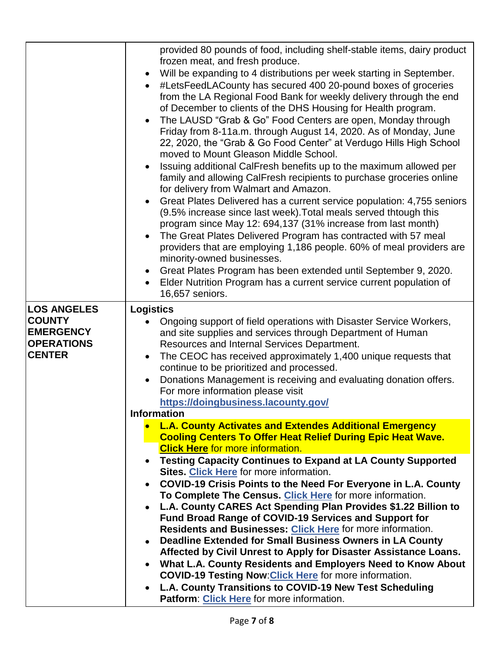|                                                                         | provided 80 pounds of food, including shelf-stable items, dairy product<br>frozen meat, and fresh produce.<br>Will be expanding to 4 distributions per week starting in September.<br>$\bullet$<br>#LetsFeedLACounty has secured 400 20-pound boxes of groceries<br>$\bullet$<br>from the LA Regional Food Bank for weekly delivery through the end<br>of December to clients of the DHS Housing for Health program.<br>The LAUSD "Grab & Go" Food Centers are open, Monday through<br>$\bullet$<br>Friday from 8-11a.m. through August 14, 2020. As of Monday, June<br>22, 2020, the "Grab & Go Food Center" at Verdugo Hills High School<br>moved to Mount Gleason Middle School.<br>Issuing additional CalFresh benefits up to the maximum allowed per<br>$\bullet$<br>family and allowing CalFresh recipients to purchase groceries online<br>for delivery from Walmart and Amazon.<br>Great Plates Delivered has a current service population: 4,755 seniors<br>$\bullet$<br>(9.5% increase since last week). Total meals served thtough this<br>program since May 12: 694,137 (31% increase from last month)<br>The Great Plates Delivered Program has contracted with 57 meal<br>$\bullet$<br>providers that are employing 1,186 people. 60% of meal providers are<br>minority-owned businesses.<br>Great Plates Program has been extended until September 9, 2020.<br>$\bullet$<br>Elder Nutrition Program has a current service current population of<br>$\bullet$<br>16,657 seniors. |
|-------------------------------------------------------------------------|------------------------------------------------------------------------------------------------------------------------------------------------------------------------------------------------------------------------------------------------------------------------------------------------------------------------------------------------------------------------------------------------------------------------------------------------------------------------------------------------------------------------------------------------------------------------------------------------------------------------------------------------------------------------------------------------------------------------------------------------------------------------------------------------------------------------------------------------------------------------------------------------------------------------------------------------------------------------------------------------------------------------------------------------------------------------------------------------------------------------------------------------------------------------------------------------------------------------------------------------------------------------------------------------------------------------------------------------------------------------------------------------------------------------------------------------------------------------------------------------|
| <b>LOS ANGELES</b>                                                      | <b>Logistics</b>                                                                                                                                                                                                                                                                                                                                                                                                                                                                                                                                                                                                                                                                                                                                                                                                                                                                                                                                                                                                                                                                                                                                                                                                                                                                                                                                                                                                                                                                               |
| <b>COUNTY</b><br><b>EMERGENCY</b><br><b>OPERATIONS</b><br><b>CENTER</b> | Ongoing support of field operations with Disaster Service Workers,<br>$\bullet$<br>and site supplies and services through Department of Human<br>Resources and Internal Services Department.<br>The CEOC has received approximately 1,400 unique requests that<br>$\bullet$<br>continue to be prioritized and processed.<br>Donations Management is receiving and evaluating donation offers.<br>$\bullet$<br>For more information please visit                                                                                                                                                                                                                                                                                                                                                                                                                                                                                                                                                                                                                                                                                                                                                                                                                                                                                                                                                                                                                                                |
|                                                                         | https://doingbusiness.lacounty.gov/                                                                                                                                                                                                                                                                                                                                                                                                                                                                                                                                                                                                                                                                                                                                                                                                                                                                                                                                                                                                                                                                                                                                                                                                                                                                                                                                                                                                                                                            |
|                                                                         | <b>Information</b>                                                                                                                                                                                                                                                                                                                                                                                                                                                                                                                                                                                                                                                                                                                                                                                                                                                                                                                                                                                                                                                                                                                                                                                                                                                                                                                                                                                                                                                                             |
|                                                                         | <b>L.A. County Activates and Extendes Additional Emergency</b><br><b>Cooling Centers To Offer Heat Relief During Epic Heat Wave.</b><br><b>Click Here for more information.</b>                                                                                                                                                                                                                                                                                                                                                                                                                                                                                                                                                                                                                                                                                                                                                                                                                                                                                                                                                                                                                                                                                                                                                                                                                                                                                                                |
|                                                                         | <b>Testing Capacity Continues to Expand at LA County Supported</b><br>$\bullet$                                                                                                                                                                                                                                                                                                                                                                                                                                                                                                                                                                                                                                                                                                                                                                                                                                                                                                                                                                                                                                                                                                                                                                                                                                                                                                                                                                                                                |
|                                                                         | Sites. Click Here for more information.                                                                                                                                                                                                                                                                                                                                                                                                                                                                                                                                                                                                                                                                                                                                                                                                                                                                                                                                                                                                                                                                                                                                                                                                                                                                                                                                                                                                                                                        |
|                                                                         | COVID-19 Crisis Points to the Need For Everyone in L.A. County<br>$\bullet$                                                                                                                                                                                                                                                                                                                                                                                                                                                                                                                                                                                                                                                                                                                                                                                                                                                                                                                                                                                                                                                                                                                                                                                                                                                                                                                                                                                                                    |
|                                                                         | To Complete The Census. Click Here for more information.                                                                                                                                                                                                                                                                                                                                                                                                                                                                                                                                                                                                                                                                                                                                                                                                                                                                                                                                                                                                                                                                                                                                                                                                                                                                                                                                                                                                                                       |
|                                                                         | L.A. County CARES Act Spending Plan Provides \$1.22 Billion to<br>$\bullet$                                                                                                                                                                                                                                                                                                                                                                                                                                                                                                                                                                                                                                                                                                                                                                                                                                                                                                                                                                                                                                                                                                                                                                                                                                                                                                                                                                                                                    |
|                                                                         | <b>Fund Broad Range of COVID-19 Services and Support for</b>                                                                                                                                                                                                                                                                                                                                                                                                                                                                                                                                                                                                                                                                                                                                                                                                                                                                                                                                                                                                                                                                                                                                                                                                                                                                                                                                                                                                                                   |
|                                                                         | Residents and Businesses: Click Here for more information.<br>Deadline Extended for Small Business Owners in LA County                                                                                                                                                                                                                                                                                                                                                                                                                                                                                                                                                                                                                                                                                                                                                                                                                                                                                                                                                                                                                                                                                                                                                                                                                                                                                                                                                                         |
|                                                                         | $\bullet$                                                                                                                                                                                                                                                                                                                                                                                                                                                                                                                                                                                                                                                                                                                                                                                                                                                                                                                                                                                                                                                                                                                                                                                                                                                                                                                                                                                                                                                                                      |
|                                                                         |                                                                                                                                                                                                                                                                                                                                                                                                                                                                                                                                                                                                                                                                                                                                                                                                                                                                                                                                                                                                                                                                                                                                                                                                                                                                                                                                                                                                                                                                                                |
|                                                                         | Affected by Civil Unrest to Apply for Disaster Assistance Loans.<br>$\bullet$                                                                                                                                                                                                                                                                                                                                                                                                                                                                                                                                                                                                                                                                                                                                                                                                                                                                                                                                                                                                                                                                                                                                                                                                                                                                                                                                                                                                                  |
|                                                                         | What L.A. County Residents and Employers Need to Know About<br><b>COVID-19 Testing Now: Click Here for more information.</b>                                                                                                                                                                                                                                                                                                                                                                                                                                                                                                                                                                                                                                                                                                                                                                                                                                                                                                                                                                                                                                                                                                                                                                                                                                                                                                                                                                   |
|                                                                         | L.A. County Transitions to COVID-19 New Test Scheduling<br>$\bullet$                                                                                                                                                                                                                                                                                                                                                                                                                                                                                                                                                                                                                                                                                                                                                                                                                                                                                                                                                                                                                                                                                                                                                                                                                                                                                                                                                                                                                           |